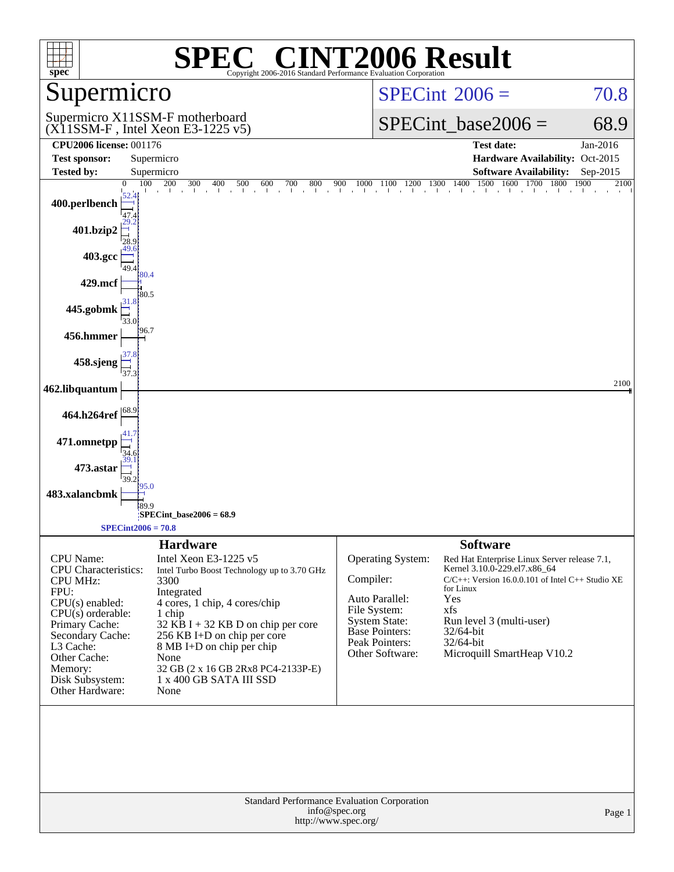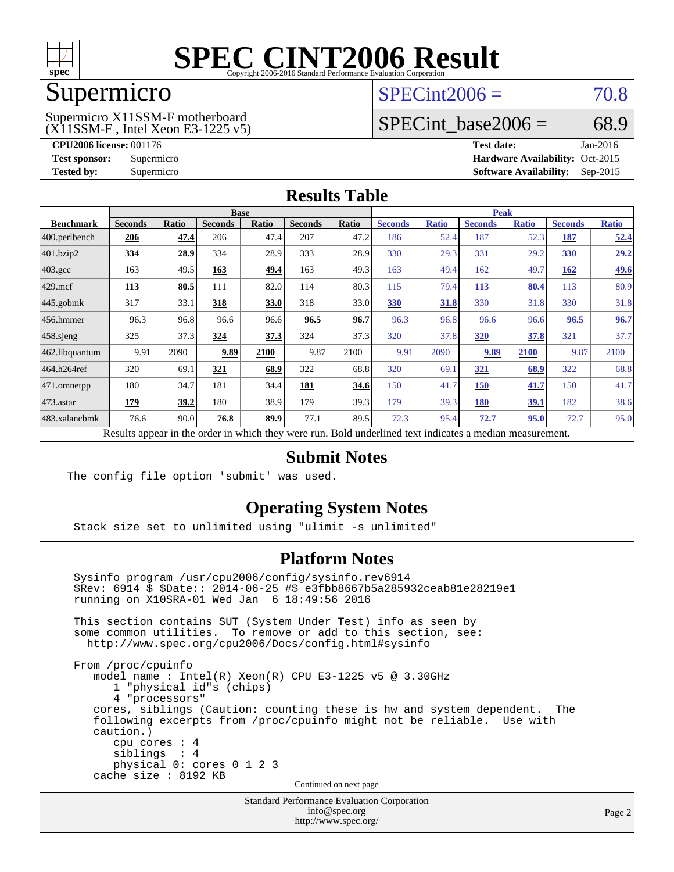

## Supermicro

## $SPECint2006 = 70.8$  $SPECint2006 = 70.8$

(X11SSM-F , Intel Xeon E3-1225 v5) Supermicro X11SSM-F motherboard

SPECint base2006 =  $68.9$ 

**[CPU2006 license:](http://www.spec.org/auto/cpu2006/Docs/result-fields.html#CPU2006license)** 001176 **[Test date:](http://www.spec.org/auto/cpu2006/Docs/result-fields.html#Testdate)** Jan-2016 **[Test sponsor:](http://www.spec.org/auto/cpu2006/Docs/result-fields.html#Testsponsor)** Supermicro Supermicro **[Hardware Availability:](http://www.spec.org/auto/cpu2006/Docs/result-fields.html#HardwareAvailability)** Oct-2015 **[Tested by:](http://www.spec.org/auto/cpu2006/Docs/result-fields.html#Testedby)** Supermicro **Supermicro [Software Availability:](http://www.spec.org/auto/cpu2006/Docs/result-fields.html#SoftwareAvailability)** Sep-2015

#### **[Results Table](http://www.spec.org/auto/cpu2006/Docs/result-fields.html#ResultsTable)**

|                                                                                                          | <b>Base</b>    |              |                |              |                |       | <b>Peak</b>    |              |                |              |                |              |
|----------------------------------------------------------------------------------------------------------|----------------|--------------|----------------|--------------|----------------|-------|----------------|--------------|----------------|--------------|----------------|--------------|
| <b>Benchmark</b>                                                                                         | <b>Seconds</b> | <b>Ratio</b> | <b>Seconds</b> | <b>Ratio</b> | <b>Seconds</b> | Ratio | <b>Seconds</b> | <b>Ratio</b> | <b>Seconds</b> | <b>Ratio</b> | <b>Seconds</b> | <b>Ratio</b> |
| $ 400$ .perlbench                                                                                        | 206            | 47.4         | 206            | 47.4         | 207            | 47.2  | 186            | 52.4         | 187            | 52.3         | 187            | 52.4         |
| 401.bzip2                                                                                                | 334            | 28.9         | 334            | 28.9         | 333            | 28.9  | 330            | 29.3         | 331            | 29.2         | 330            | 29.2         |
| $403.\text{gcc}$                                                                                         | 163            | 49.5         | 163            | 49.4         | 163            | 49.3  | 163            | 49.4         | 162            | 49.7         | 162            | <u>49.6</u>  |
| $429$ .mcf                                                                                               | 113            | 80.5         | 111            | 82.0         | 114            | 80.3  | 115            | 79.4         | <b>113</b>     | 80.4         | 113            | 80.9         |
| $445$ .gobmk                                                                                             | 317            | 33.1         | 318            | 33.0         | 318            | 33.0  | 330            | 31.8         | 330            | 31.8         | 330            | 31.8         |
| $456.$ hmmer                                                                                             | 96.3           | 96.8         | 96.6           | 96.6         | 96.5           | 96.7  | 96.3           | 96.8         | 96.6           | 96.6         | 96.5           | 96.7         |
| $458$ .sjeng                                                                                             | 325            | 37.3         | 324            | 37.3         | 324            | 37.3  | 320            | 37.8         | 320            | 37.8         | 321            | 37.7         |
| 462.libquantum                                                                                           | 9.91           | 2090         | 9.89           | 2100         | 9.87           | 2100  | 9.91           | 2090         | 9.89           | 2100         | 9.87           | 2100         |
| 464.h264ref                                                                                              | 320            | 69.1         | 321            | 68.9         | 322            | 68.8  | 320            | 69.1         | <u>321</u>     | 68.9         | 322            | 68.8         |
| 471.omnetpp                                                                                              | 180            | 34.7         | 181            | 34.4         | 181            | 34.6  | 150            | 41.7         | <b>150</b>     | 41.7         | 150            | 41.7         |
| $473$ . astar                                                                                            | 179            | 39.2         | 180            | 38.9         | 179            | 39.3  | 179            | 39.3         | 180            | 39.1         | 182            | 38.6         |
| 483.xalancbmk                                                                                            | 76.6           | 90.0         | 76.8           | 89.9         | 77.1           | 89.5  | 72.3           | 95.4         | 72.7           | 95.0         | 72.7           | 95.0         |
| Results appear in the order in which they were run. Bold underlined text indicates a median measurement. |                |              |                |              |                |       |                |              |                |              |                |              |

#### **[Submit Notes](http://www.spec.org/auto/cpu2006/Docs/result-fields.html#SubmitNotes)**

The config file option 'submit' was used.

#### **[Operating System Notes](http://www.spec.org/auto/cpu2006/Docs/result-fields.html#OperatingSystemNotes)**

Stack size set to unlimited using "ulimit -s unlimited"

#### **[Platform Notes](http://www.spec.org/auto/cpu2006/Docs/result-fields.html#PlatformNotes)**

 Sysinfo program /usr/cpu2006/config/sysinfo.rev6914 \$Rev: 6914 \$ \$Date:: 2014-06-25 #\$ e3fbb8667b5a285932ceab81e28219e1 running on X10SRA-01 Wed Jan 6 18:49:56 2016 This section contains SUT (System Under Test) info as seen by some common utilities. To remove or add to this section, see: <http://www.spec.org/cpu2006/Docs/config.html#sysinfo> From /proc/cpuinfo model name : Intel(R) Xeon(R) CPU E3-1225 v5 @ 3.30GHz 1 "physical id"s (chips) 4 "processors" cores, siblings (Caution: counting these is hw and system dependent. The following excerpts from /proc/cpuinfo might not be reliable. Use with caution.) cpu cores : 4 siblings : 4 physical 0: cores 0 1 2 3 cache size : 8192 KB Continued on next page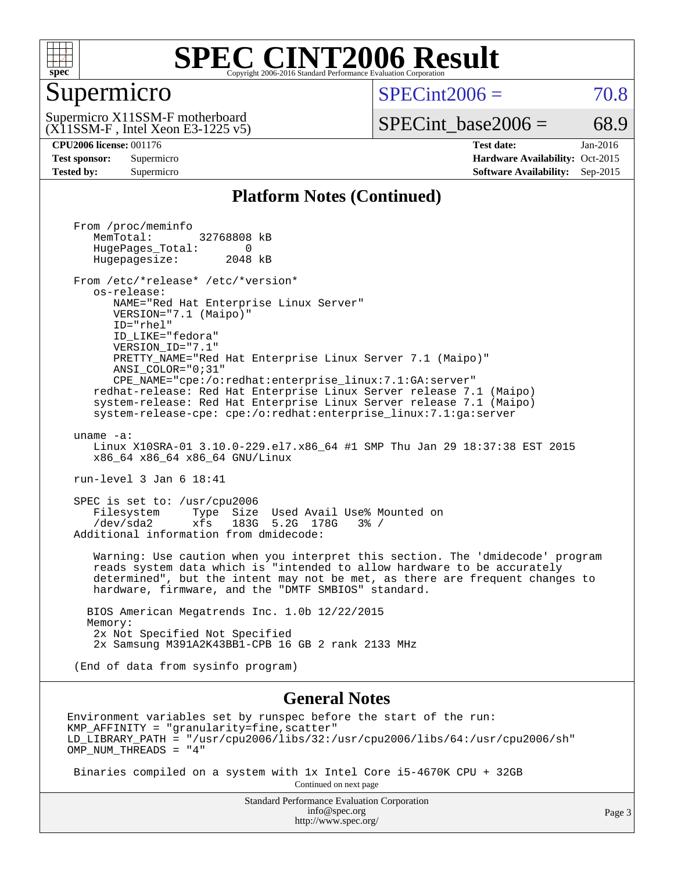

#### Supermicro

 $SPECint2006 = 70.8$  $SPECint2006 = 70.8$ 

(X11SSM-F , Intel Xeon E3-1225 v5) Supermicro X11SSM-F motherboard

SPECint base2006 =  $68.9$ 

**[CPU2006 license:](http://www.spec.org/auto/cpu2006/Docs/result-fields.html#CPU2006license)** 001176 **[Test date:](http://www.spec.org/auto/cpu2006/Docs/result-fields.html#Testdate)** Jan-2016 **[Test sponsor:](http://www.spec.org/auto/cpu2006/Docs/result-fields.html#Testsponsor)** Supermicro Supermicro **[Hardware Availability:](http://www.spec.org/auto/cpu2006/Docs/result-fields.html#HardwareAvailability)** Oct-2015 **[Tested by:](http://www.spec.org/auto/cpu2006/Docs/result-fields.html#Testedby)** Supermicro **[Software Availability:](http://www.spec.org/auto/cpu2006/Docs/result-fields.html#SoftwareAvailability)** Sep-2015

#### **[Platform Notes \(Continued\)](http://www.spec.org/auto/cpu2006/Docs/result-fields.html#PlatformNotes)**

 From /proc/meminfo MemTotal: 32768808 kB HugePages\_Total: 0<br>Hugepagesize: 2048 kB Hugepagesize: From /etc/\*release\* /etc/\*version\* os-release: NAME="Red Hat Enterprise Linux Server" VERSION="7.1 (Maipo)" ID="rhel" ID\_LIKE="fedora" VERSION\_ID="7.1" PRETTY\_NAME="Red Hat Enterprise Linux Server 7.1 (Maipo)" ANSI\_COLOR="0;31" CPE\_NAME="cpe:/o:redhat:enterprise\_linux:7.1:GA:server" redhat-release: Red Hat Enterprise Linux Server release 7.1 (Maipo) system-release: Red Hat Enterprise Linux Server release 7.1 (Maipo) system-release-cpe: cpe:/o:redhat:enterprise\_linux:7.1:ga:server uname -a: Linux X10SRA-01 3.10.0-229.el7.x86\_64 #1 SMP Thu Jan 29 18:37:38 EST 2015 x86\_64 x86\_64 x86\_64 GNU/Linux run-level 3 Jan 6 18:41 SPEC is set to: /usr/cpu2006 Filesystem Type Size Used Avail Use% Mounted on /dev/sda2 xfs 183G 5.2G 178G 3% / Additional information from dmidecode: Warning: Use caution when you interpret this section. The 'dmidecode' program reads system data which is "intended to allow hardware to be accurately determined", but the intent may not be met, as there are frequent changes to hardware, firmware, and the "DMTF SMBIOS" standard. BIOS American Megatrends Inc. 1.0b 12/22/2015 Memory: 2x Not Specified Not Specified 2x Samsung M391A2K43BB1-CPB 16 GB 2 rank 2133 MHz (End of data from sysinfo program) **[General Notes](http://www.spec.org/auto/cpu2006/Docs/result-fields.html#GeneralNotes)** Environment variables set by runspec before the start of the run:  $KMP$  AFFINITY = "granularity=fine, scatter" LD\_LIBRARY\_PATH = "/usr/cpu2006/libs/32:/usr/cpu2006/libs/64:/usr/cpu2006/sh" OMP\_NUM\_THREADS = "4" Binaries compiled on a system with 1x Intel Core i5-4670K CPU + 32GB Continued on next page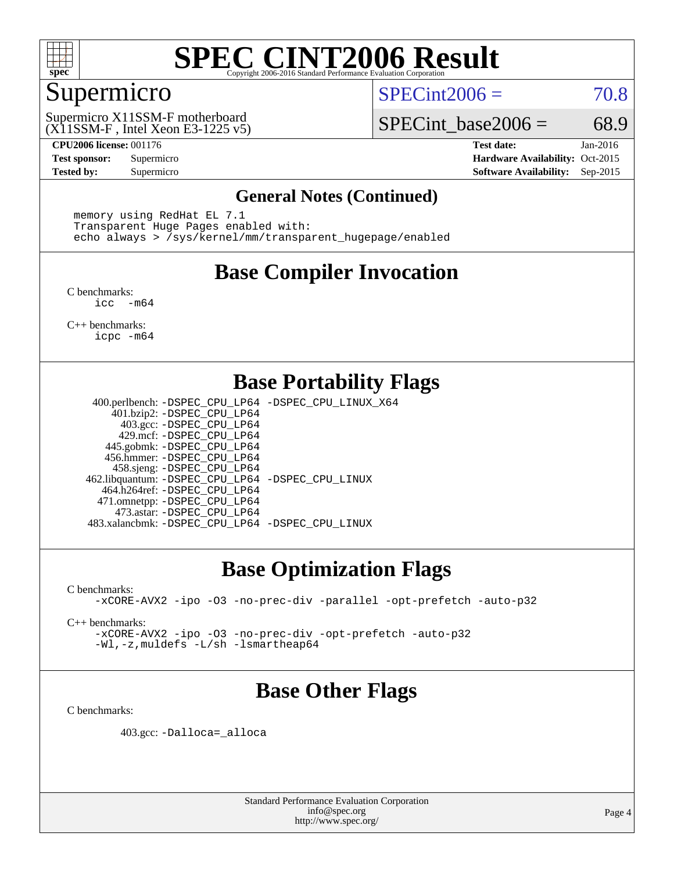

#### Supermicro

 $SPECint2006 = 70.8$  $SPECint2006 = 70.8$ 

(X11SSM-F , Intel Xeon E3-1225 v5) Supermicro X11SSM-F motherboard

SPECint base2006 =  $68.9$ 

**[CPU2006 license:](http://www.spec.org/auto/cpu2006/Docs/result-fields.html#CPU2006license)** 001176 **[Test date:](http://www.spec.org/auto/cpu2006/Docs/result-fields.html#Testdate)** Jan-2016 **[Test sponsor:](http://www.spec.org/auto/cpu2006/Docs/result-fields.html#Testsponsor)** Supermicro Supermicro **[Hardware Availability:](http://www.spec.org/auto/cpu2006/Docs/result-fields.html#HardwareAvailability)** Oct-2015 **[Tested by:](http://www.spec.org/auto/cpu2006/Docs/result-fields.html#Testedby)** Supermicro **Supermicro [Software Availability:](http://www.spec.org/auto/cpu2006/Docs/result-fields.html#SoftwareAvailability)** Sep-2015

#### **[General Notes \(Continued\)](http://www.spec.org/auto/cpu2006/Docs/result-fields.html#GeneralNotes)**

 memory using RedHat EL 7.1 Transparent Huge Pages enabled with: echo always > /sys/kernel/mm/transparent\_hugepage/enabled

## **[Base Compiler Invocation](http://www.spec.org/auto/cpu2006/Docs/result-fields.html#BaseCompilerInvocation)**

[C benchmarks](http://www.spec.org/auto/cpu2006/Docs/result-fields.html#Cbenchmarks): [icc -m64](http://www.spec.org/cpu2006/results/res2016q1/cpu2006-20160107-38628.flags.html#user_CCbase_intel_icc_64bit_f346026e86af2a669e726fe758c88044)

[C++ benchmarks:](http://www.spec.org/auto/cpu2006/Docs/result-fields.html#CXXbenchmarks) [icpc -m64](http://www.spec.org/cpu2006/results/res2016q1/cpu2006-20160107-38628.flags.html#user_CXXbase_intel_icpc_64bit_fc66a5337ce925472a5c54ad6a0de310)

## **[Base Portability Flags](http://www.spec.org/auto/cpu2006/Docs/result-fields.html#BasePortabilityFlags)**

 400.perlbench: [-DSPEC\\_CPU\\_LP64](http://www.spec.org/cpu2006/results/res2016q1/cpu2006-20160107-38628.flags.html#b400.perlbench_basePORTABILITY_DSPEC_CPU_LP64) [-DSPEC\\_CPU\\_LINUX\\_X64](http://www.spec.org/cpu2006/results/res2016q1/cpu2006-20160107-38628.flags.html#b400.perlbench_baseCPORTABILITY_DSPEC_CPU_LINUX_X64) 401.bzip2: [-DSPEC\\_CPU\\_LP64](http://www.spec.org/cpu2006/results/res2016q1/cpu2006-20160107-38628.flags.html#suite_basePORTABILITY401_bzip2_DSPEC_CPU_LP64) 403.gcc: [-DSPEC\\_CPU\\_LP64](http://www.spec.org/cpu2006/results/res2016q1/cpu2006-20160107-38628.flags.html#suite_basePORTABILITY403_gcc_DSPEC_CPU_LP64) 429.mcf: [-DSPEC\\_CPU\\_LP64](http://www.spec.org/cpu2006/results/res2016q1/cpu2006-20160107-38628.flags.html#suite_basePORTABILITY429_mcf_DSPEC_CPU_LP64) 445.gobmk: [-DSPEC\\_CPU\\_LP64](http://www.spec.org/cpu2006/results/res2016q1/cpu2006-20160107-38628.flags.html#suite_basePORTABILITY445_gobmk_DSPEC_CPU_LP64) 456.hmmer: [-DSPEC\\_CPU\\_LP64](http://www.spec.org/cpu2006/results/res2016q1/cpu2006-20160107-38628.flags.html#suite_basePORTABILITY456_hmmer_DSPEC_CPU_LP64) 458.sjeng: [-DSPEC\\_CPU\\_LP64](http://www.spec.org/cpu2006/results/res2016q1/cpu2006-20160107-38628.flags.html#suite_basePORTABILITY458_sjeng_DSPEC_CPU_LP64) 462.libquantum: [-DSPEC\\_CPU\\_LP64](http://www.spec.org/cpu2006/results/res2016q1/cpu2006-20160107-38628.flags.html#suite_basePORTABILITY462_libquantum_DSPEC_CPU_LP64) [-DSPEC\\_CPU\\_LINUX](http://www.spec.org/cpu2006/results/res2016q1/cpu2006-20160107-38628.flags.html#b462.libquantum_baseCPORTABILITY_DSPEC_CPU_LINUX) 464.h264ref: [-DSPEC\\_CPU\\_LP64](http://www.spec.org/cpu2006/results/res2016q1/cpu2006-20160107-38628.flags.html#suite_basePORTABILITY464_h264ref_DSPEC_CPU_LP64) 471.omnetpp: [-DSPEC\\_CPU\\_LP64](http://www.spec.org/cpu2006/results/res2016q1/cpu2006-20160107-38628.flags.html#suite_basePORTABILITY471_omnetpp_DSPEC_CPU_LP64) 473.astar: [-DSPEC\\_CPU\\_LP64](http://www.spec.org/cpu2006/results/res2016q1/cpu2006-20160107-38628.flags.html#suite_basePORTABILITY473_astar_DSPEC_CPU_LP64) 483.xalancbmk: [-DSPEC\\_CPU\\_LP64](http://www.spec.org/cpu2006/results/res2016q1/cpu2006-20160107-38628.flags.html#suite_basePORTABILITY483_xalancbmk_DSPEC_CPU_LP64) [-DSPEC\\_CPU\\_LINUX](http://www.spec.org/cpu2006/results/res2016q1/cpu2006-20160107-38628.flags.html#b483.xalancbmk_baseCXXPORTABILITY_DSPEC_CPU_LINUX)

#### **[Base Optimization Flags](http://www.spec.org/auto/cpu2006/Docs/result-fields.html#BaseOptimizationFlags)**

[C benchmarks](http://www.spec.org/auto/cpu2006/Docs/result-fields.html#Cbenchmarks):

[-xCORE-AVX2](http://www.spec.org/cpu2006/results/res2016q1/cpu2006-20160107-38628.flags.html#user_CCbase_f-xAVX2_5f5fc0cbe2c9f62c816d3e45806c70d7) [-ipo](http://www.spec.org/cpu2006/results/res2016q1/cpu2006-20160107-38628.flags.html#user_CCbase_f-ipo) [-O3](http://www.spec.org/cpu2006/results/res2016q1/cpu2006-20160107-38628.flags.html#user_CCbase_f-O3) [-no-prec-div](http://www.spec.org/cpu2006/results/res2016q1/cpu2006-20160107-38628.flags.html#user_CCbase_f-no-prec-div) [-parallel](http://www.spec.org/cpu2006/results/res2016q1/cpu2006-20160107-38628.flags.html#user_CCbase_f-parallel) [-opt-prefetch](http://www.spec.org/cpu2006/results/res2016q1/cpu2006-20160107-38628.flags.html#user_CCbase_f-opt-prefetch) [-auto-p32](http://www.spec.org/cpu2006/results/res2016q1/cpu2006-20160107-38628.flags.html#user_CCbase_f-auto-p32)

[C++ benchmarks:](http://www.spec.org/auto/cpu2006/Docs/result-fields.html#CXXbenchmarks)

[-xCORE-AVX2](http://www.spec.org/cpu2006/results/res2016q1/cpu2006-20160107-38628.flags.html#user_CXXbase_f-xAVX2_5f5fc0cbe2c9f62c816d3e45806c70d7) [-ipo](http://www.spec.org/cpu2006/results/res2016q1/cpu2006-20160107-38628.flags.html#user_CXXbase_f-ipo) [-O3](http://www.spec.org/cpu2006/results/res2016q1/cpu2006-20160107-38628.flags.html#user_CXXbase_f-O3) [-no-prec-div](http://www.spec.org/cpu2006/results/res2016q1/cpu2006-20160107-38628.flags.html#user_CXXbase_f-no-prec-div) [-opt-prefetch](http://www.spec.org/cpu2006/results/res2016q1/cpu2006-20160107-38628.flags.html#user_CXXbase_f-opt-prefetch) [-auto-p32](http://www.spec.org/cpu2006/results/res2016q1/cpu2006-20160107-38628.flags.html#user_CXXbase_f-auto-p32) [-Wl,-z,muldefs](http://www.spec.org/cpu2006/results/res2016q1/cpu2006-20160107-38628.flags.html#user_CXXbase_link_force_multiple1_74079c344b956b9658436fd1b6dd3a8a) [-L/sh -lsmartheap64](http://www.spec.org/cpu2006/results/res2016q1/cpu2006-20160107-38628.flags.html#user_CXXbase_SmartHeap64_ed4ef857ce90951921efb0d91eb88472)

#### **[Base Other Flags](http://www.spec.org/auto/cpu2006/Docs/result-fields.html#BaseOtherFlags)**

[C benchmarks](http://www.spec.org/auto/cpu2006/Docs/result-fields.html#Cbenchmarks):

403.gcc: [-Dalloca=\\_alloca](http://www.spec.org/cpu2006/results/res2016q1/cpu2006-20160107-38628.flags.html#b403.gcc_baseEXTRA_CFLAGS_Dalloca_be3056838c12de2578596ca5467af7f3)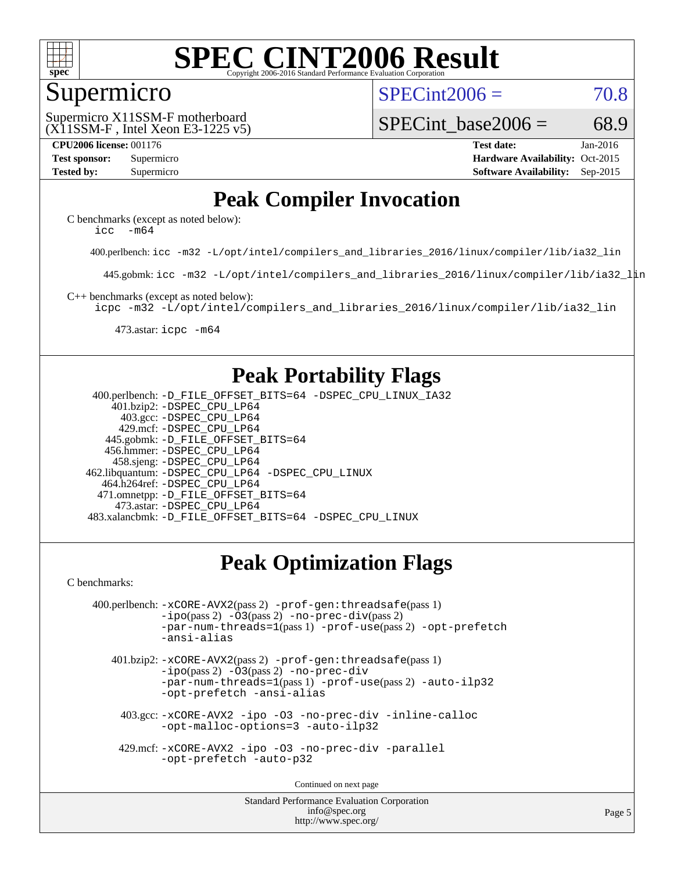

#### Supermicro

 $SPECint2006 = 70.8$  $SPECint2006 = 70.8$ 

(X11SSM-F , Intel Xeon E3-1225 v5) Supermicro X11SSM-F motherboard

SPECint base2006 =  $68.9$ 

**[CPU2006 license:](http://www.spec.org/auto/cpu2006/Docs/result-fields.html#CPU2006license)** 001176 **[Test date:](http://www.spec.org/auto/cpu2006/Docs/result-fields.html#Testdate)** Jan-2016 **[Test sponsor:](http://www.spec.org/auto/cpu2006/Docs/result-fields.html#Testsponsor)** Supermicro Supermicro **[Hardware Availability:](http://www.spec.org/auto/cpu2006/Docs/result-fields.html#HardwareAvailability)** Oct-2015 **[Tested by:](http://www.spec.org/auto/cpu2006/Docs/result-fields.html#Testedby)** Supermicro **Supermicro [Software Availability:](http://www.spec.org/auto/cpu2006/Docs/result-fields.html#SoftwareAvailability)** Sep-2015

## **[Peak Compiler Invocation](http://www.spec.org/auto/cpu2006/Docs/result-fields.html#PeakCompilerInvocation)**

[C benchmarks \(except as noted below\)](http://www.spec.org/auto/cpu2006/Docs/result-fields.html#Cbenchmarksexceptasnotedbelow): [icc -m64](http://www.spec.org/cpu2006/results/res2016q1/cpu2006-20160107-38628.flags.html#user_CCpeak_intel_icc_64bit_f346026e86af2a669e726fe758c88044)

400.perlbench: [icc -m32 -L/opt/intel/compilers\\_and\\_libraries\\_2016/linux/compiler/lib/ia32\\_lin](http://www.spec.org/cpu2006/results/res2016q1/cpu2006-20160107-38628.flags.html#user_peakCCLD400_perlbench_intel_icc_e10256ba5924b668798078a321b0cb3f)

445.gobmk: [icc -m32 -L/opt/intel/compilers\\_and\\_libraries\\_2016/linux/compiler/lib/ia32\\_lin](http://www.spec.org/cpu2006/results/res2016q1/cpu2006-20160107-38628.flags.html#user_peakCCLD445_gobmk_intel_icc_e10256ba5924b668798078a321b0cb3f)

[C++ benchmarks \(except as noted below\):](http://www.spec.org/auto/cpu2006/Docs/result-fields.html#CXXbenchmarksexceptasnotedbelow)

[icpc -m32 -L/opt/intel/compilers\\_and\\_libraries\\_2016/linux/compiler/lib/ia32\\_lin](http://www.spec.org/cpu2006/results/res2016q1/cpu2006-20160107-38628.flags.html#user_CXXpeak_intel_icpc_b4f50a394bdb4597aa5879c16bc3f5c5)

473.astar: [icpc -m64](http://www.spec.org/cpu2006/results/res2016q1/cpu2006-20160107-38628.flags.html#user_peakCXXLD473_astar_intel_icpc_64bit_fc66a5337ce925472a5c54ad6a0de310)

## **[Peak Portability Flags](http://www.spec.org/auto/cpu2006/Docs/result-fields.html#PeakPortabilityFlags)**

 400.perlbench: [-D\\_FILE\\_OFFSET\\_BITS=64](http://www.spec.org/cpu2006/results/res2016q1/cpu2006-20160107-38628.flags.html#user_peakPORTABILITY400_perlbench_file_offset_bits_64_438cf9856305ebd76870a2c6dc2689ab) [-DSPEC\\_CPU\\_LINUX\\_IA32](http://www.spec.org/cpu2006/results/res2016q1/cpu2006-20160107-38628.flags.html#b400.perlbench_peakCPORTABILITY_DSPEC_CPU_LINUX_IA32) 401.bzip2: [-DSPEC\\_CPU\\_LP64](http://www.spec.org/cpu2006/results/res2016q1/cpu2006-20160107-38628.flags.html#suite_peakPORTABILITY401_bzip2_DSPEC_CPU_LP64) 403.gcc: [-DSPEC\\_CPU\\_LP64](http://www.spec.org/cpu2006/results/res2016q1/cpu2006-20160107-38628.flags.html#suite_peakPORTABILITY403_gcc_DSPEC_CPU_LP64) 429.mcf: [-DSPEC\\_CPU\\_LP64](http://www.spec.org/cpu2006/results/res2016q1/cpu2006-20160107-38628.flags.html#suite_peakPORTABILITY429_mcf_DSPEC_CPU_LP64) 445.gobmk: [-D\\_FILE\\_OFFSET\\_BITS=64](http://www.spec.org/cpu2006/results/res2016q1/cpu2006-20160107-38628.flags.html#user_peakPORTABILITY445_gobmk_file_offset_bits_64_438cf9856305ebd76870a2c6dc2689ab) 456.hmmer: [-DSPEC\\_CPU\\_LP64](http://www.spec.org/cpu2006/results/res2016q1/cpu2006-20160107-38628.flags.html#suite_peakPORTABILITY456_hmmer_DSPEC_CPU_LP64) 458.sjeng: [-DSPEC\\_CPU\\_LP64](http://www.spec.org/cpu2006/results/res2016q1/cpu2006-20160107-38628.flags.html#suite_peakPORTABILITY458_sjeng_DSPEC_CPU_LP64) 462.libquantum: [-DSPEC\\_CPU\\_LP64](http://www.spec.org/cpu2006/results/res2016q1/cpu2006-20160107-38628.flags.html#suite_peakPORTABILITY462_libquantum_DSPEC_CPU_LP64) [-DSPEC\\_CPU\\_LINUX](http://www.spec.org/cpu2006/results/res2016q1/cpu2006-20160107-38628.flags.html#b462.libquantum_peakCPORTABILITY_DSPEC_CPU_LINUX) 464.h264ref: [-DSPEC\\_CPU\\_LP64](http://www.spec.org/cpu2006/results/res2016q1/cpu2006-20160107-38628.flags.html#suite_peakPORTABILITY464_h264ref_DSPEC_CPU_LP64) 471.omnetpp: [-D\\_FILE\\_OFFSET\\_BITS=64](http://www.spec.org/cpu2006/results/res2016q1/cpu2006-20160107-38628.flags.html#user_peakPORTABILITY471_omnetpp_file_offset_bits_64_438cf9856305ebd76870a2c6dc2689ab) 473.astar: [-DSPEC\\_CPU\\_LP64](http://www.spec.org/cpu2006/results/res2016q1/cpu2006-20160107-38628.flags.html#suite_peakPORTABILITY473_astar_DSPEC_CPU_LP64) 483.xalancbmk: [-D\\_FILE\\_OFFSET\\_BITS=64](http://www.spec.org/cpu2006/results/res2016q1/cpu2006-20160107-38628.flags.html#user_peakPORTABILITY483_xalancbmk_file_offset_bits_64_438cf9856305ebd76870a2c6dc2689ab) [-DSPEC\\_CPU\\_LINUX](http://www.spec.org/cpu2006/results/res2016q1/cpu2006-20160107-38628.flags.html#b483.xalancbmk_peakCXXPORTABILITY_DSPEC_CPU_LINUX)

## **[Peak Optimization Flags](http://www.spec.org/auto/cpu2006/Docs/result-fields.html#PeakOptimizationFlags)**

[C benchmarks](http://www.spec.org/auto/cpu2006/Docs/result-fields.html#Cbenchmarks):

```
 400.perlbench: -xCORE-AVX2(pass 2) -prof-gen:threadsafe(pass 1)
-no-prec-div(pass 2)-par-num-threads=1(pass 1) -prof-use(pass 2) -opt-prefetch
-ansi-alias
```
 401.bzip2: [-xCORE-AVX2](http://www.spec.org/cpu2006/results/res2016q1/cpu2006-20160107-38628.flags.html#user_peakPASS2_CFLAGSPASS2_LDCFLAGS401_bzip2_f-xAVX2_5f5fc0cbe2c9f62c816d3e45806c70d7)(pass 2) [-prof-gen:threadsafe](http://www.spec.org/cpu2006/results/res2016q1/cpu2006-20160107-38628.flags.html#user_peakPASS1_CFLAGSPASS1_LDCFLAGS401_bzip2_prof_gen_21a26eb79f378b550acd7bec9fe4467a)(pass 1)  $-i\text{po}(pass 2) -03(pass 2) -no-prec-div$  $-i\text{po}(pass 2) -03(pass 2) -no-prec-div$ [-par-num-threads=1](http://www.spec.org/cpu2006/results/res2016q1/cpu2006-20160107-38628.flags.html#user_peakPASS1_CFLAGSPASS1_LDCFLAGS401_bzip2_par_num_threads_786a6ff141b4e9e90432e998842df6c2)(pass 1) [-prof-use](http://www.spec.org/cpu2006/results/res2016q1/cpu2006-20160107-38628.flags.html#user_peakPASS2_CFLAGSPASS2_LDCFLAGS401_bzip2_prof_use_bccf7792157ff70d64e32fe3e1250b55)(pass 2) [-auto-ilp32](http://www.spec.org/cpu2006/results/res2016q1/cpu2006-20160107-38628.flags.html#user_peakCOPTIMIZE401_bzip2_f-auto-ilp32) [-opt-prefetch](http://www.spec.org/cpu2006/results/res2016q1/cpu2006-20160107-38628.flags.html#user_peakCOPTIMIZE401_bzip2_f-opt-prefetch) [-ansi-alias](http://www.spec.org/cpu2006/results/res2016q1/cpu2006-20160107-38628.flags.html#user_peakCOPTIMIZE401_bzip2_f-ansi-alias)

 403.gcc: [-xCORE-AVX2](http://www.spec.org/cpu2006/results/res2016q1/cpu2006-20160107-38628.flags.html#user_peakCOPTIMIZE403_gcc_f-xAVX2_5f5fc0cbe2c9f62c816d3e45806c70d7) [-ipo](http://www.spec.org/cpu2006/results/res2016q1/cpu2006-20160107-38628.flags.html#user_peakCOPTIMIZE403_gcc_f-ipo) [-O3](http://www.spec.org/cpu2006/results/res2016q1/cpu2006-20160107-38628.flags.html#user_peakCOPTIMIZE403_gcc_f-O3) [-no-prec-div](http://www.spec.org/cpu2006/results/res2016q1/cpu2006-20160107-38628.flags.html#user_peakCOPTIMIZE403_gcc_f-no-prec-div) [-inline-calloc](http://www.spec.org/cpu2006/results/res2016q1/cpu2006-20160107-38628.flags.html#user_peakCOPTIMIZE403_gcc_f-inline-calloc) [-opt-malloc-options=3](http://www.spec.org/cpu2006/results/res2016q1/cpu2006-20160107-38628.flags.html#user_peakCOPTIMIZE403_gcc_f-opt-malloc-options_13ab9b803cf986b4ee62f0a5998c2238) [-auto-ilp32](http://www.spec.org/cpu2006/results/res2016q1/cpu2006-20160107-38628.flags.html#user_peakCOPTIMIZE403_gcc_f-auto-ilp32)

 429.mcf: [-xCORE-AVX2](http://www.spec.org/cpu2006/results/res2016q1/cpu2006-20160107-38628.flags.html#user_peakCOPTIMIZE429_mcf_f-xAVX2_5f5fc0cbe2c9f62c816d3e45806c70d7) [-ipo](http://www.spec.org/cpu2006/results/res2016q1/cpu2006-20160107-38628.flags.html#user_peakCOPTIMIZE429_mcf_f-ipo) [-O3](http://www.spec.org/cpu2006/results/res2016q1/cpu2006-20160107-38628.flags.html#user_peakCOPTIMIZE429_mcf_f-O3) [-no-prec-div](http://www.spec.org/cpu2006/results/res2016q1/cpu2006-20160107-38628.flags.html#user_peakCOPTIMIZE429_mcf_f-no-prec-div) [-parallel](http://www.spec.org/cpu2006/results/res2016q1/cpu2006-20160107-38628.flags.html#user_peakCOPTIMIZE429_mcf_f-parallel) [-opt-prefetch](http://www.spec.org/cpu2006/results/res2016q1/cpu2006-20160107-38628.flags.html#user_peakCOPTIMIZE429_mcf_f-opt-prefetch) [-auto-p32](http://www.spec.org/cpu2006/results/res2016q1/cpu2006-20160107-38628.flags.html#user_peakCOPTIMIZE429_mcf_f-auto-p32)

Continued on next page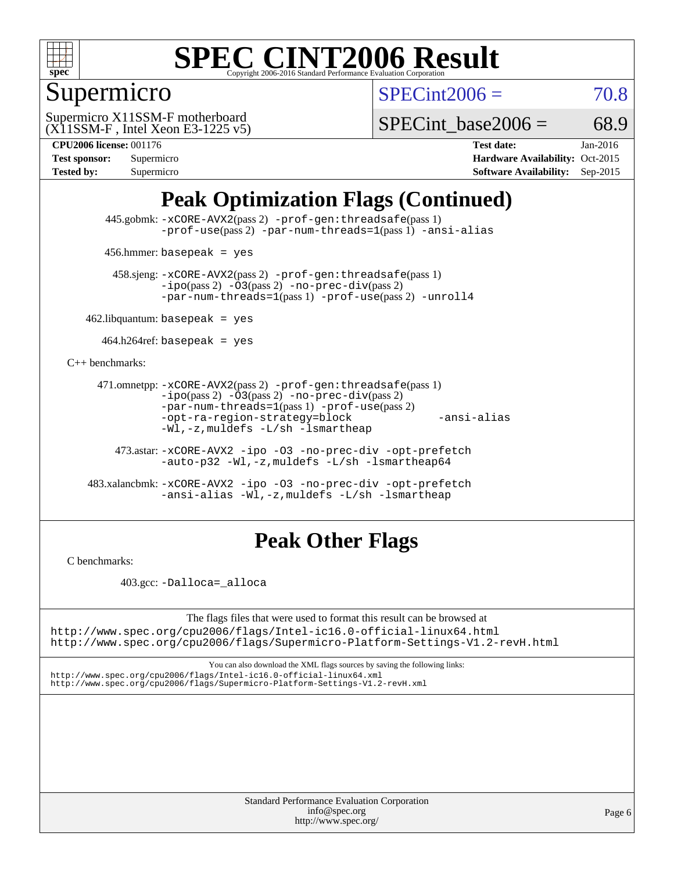

## Supermicro

 $SPECint2006 = 70.8$  $SPECint2006 = 70.8$ 

(X11SSM-F , Intel Xeon E3-1225 v5) Supermicro X11SSM-F motherboard

SPECint base2006 =  $68.9$ 

| <b>Test sponsor:</b> | Supermicro |
|----------------------|------------|
| <b>Tested by:</b>    | Supermicro |

**[CPU2006 license:](http://www.spec.org/auto/cpu2006/Docs/result-fields.html#CPU2006license)** 001176 **[Test date:](http://www.spec.org/auto/cpu2006/Docs/result-fields.html#Testdate)** Jan-2016 **[Hardware Availability:](http://www.spec.org/auto/cpu2006/Docs/result-fields.html#HardwareAvailability)** Oct-2015 **[Software Availability:](http://www.spec.org/auto/cpu2006/Docs/result-fields.html#SoftwareAvailability)** Sep-2015

## **[Peak Optimization Flags \(Continued\)](http://www.spec.org/auto/cpu2006/Docs/result-fields.html#PeakOptimizationFlags)**

 445.gobmk: [-xCORE-AVX2](http://www.spec.org/cpu2006/results/res2016q1/cpu2006-20160107-38628.flags.html#user_peakPASS2_CFLAGSPASS2_LDCFLAGS445_gobmk_f-xAVX2_5f5fc0cbe2c9f62c816d3e45806c70d7)(pass 2) [-prof-gen:threadsafe](http://www.spec.org/cpu2006/results/res2016q1/cpu2006-20160107-38628.flags.html#user_peakPASS1_CFLAGSPASS1_LDCFLAGS445_gobmk_prof_gen_21a26eb79f378b550acd7bec9fe4467a)(pass 1) [-prof-use](http://www.spec.org/cpu2006/results/res2016q1/cpu2006-20160107-38628.flags.html#user_peakPASS2_CFLAGSPASS2_LDCFLAGS445_gobmk_prof_use_bccf7792157ff70d64e32fe3e1250b55)(pass 2) [-par-num-threads=1](http://www.spec.org/cpu2006/results/res2016q1/cpu2006-20160107-38628.flags.html#user_peakPASS1_CFLAGSPASS1_LDCFLAGS445_gobmk_par_num_threads_786a6ff141b4e9e90432e998842df6c2)(pass 1) [-ansi-alias](http://www.spec.org/cpu2006/results/res2016q1/cpu2006-20160107-38628.flags.html#user_peakCOPTIMIZE445_gobmk_f-ansi-alias)

456.hmmer: basepeak = yes

 458.sjeng: [-xCORE-AVX2](http://www.spec.org/cpu2006/results/res2016q1/cpu2006-20160107-38628.flags.html#user_peakPASS2_CFLAGSPASS2_LDCFLAGS458_sjeng_f-xAVX2_5f5fc0cbe2c9f62c816d3e45806c70d7)(pass 2) [-prof-gen:threadsafe](http://www.spec.org/cpu2006/results/res2016q1/cpu2006-20160107-38628.flags.html#user_peakPASS1_CFLAGSPASS1_LDCFLAGS458_sjeng_prof_gen_21a26eb79f378b550acd7bec9fe4467a)(pass 1)  $-ipo(pass 2) -\overline{O3(pass 2)}$  $-ipo(pass 2) -\overline{O3(pass 2)}$  [-no-prec-div](http://www.spec.org/cpu2006/results/res2016q1/cpu2006-20160107-38628.flags.html#user_peakPASS2_CFLAGSPASS2_LDCFLAGS458_sjeng_f-no-prec-div)(pass 2) [-par-num-threads=1](http://www.spec.org/cpu2006/results/res2016q1/cpu2006-20160107-38628.flags.html#user_peakPASS1_CFLAGSPASS1_LDCFLAGS458_sjeng_par_num_threads_786a6ff141b4e9e90432e998842df6c2)(pass 1) [-prof-use](http://www.spec.org/cpu2006/results/res2016q1/cpu2006-20160107-38628.flags.html#user_peakPASS2_CFLAGSPASS2_LDCFLAGS458_sjeng_prof_use_bccf7792157ff70d64e32fe3e1250b55)(pass 2) [-unroll4](http://www.spec.org/cpu2006/results/res2016q1/cpu2006-20160107-38628.flags.html#user_peakCOPTIMIZE458_sjeng_f-unroll_4e5e4ed65b7fd20bdcd365bec371b81f)

 $462$ .libquantum: basepeak = yes

 $464.h264$ ref: basepeak = yes

[C++ benchmarks:](http://www.spec.org/auto/cpu2006/Docs/result-fields.html#CXXbenchmarks)

```
 471.omnetpp: -xCORE-AVX2(pass 2) -prof-gen:threadsafe(pass 1)
-i\text{po}(pass 2) -03(pass 2) -no-prec-div(pass 2)-par-num-threads=1(pass 1) -prof-use(pass 2)
-opt-ra-region-strategy=block -ansi-alias
-Wl,-z,muldefs -L/sh -lsmartheap
```
 473.astar: [-xCORE-AVX2](http://www.spec.org/cpu2006/results/res2016q1/cpu2006-20160107-38628.flags.html#user_peakCXXOPTIMIZE473_astar_f-xAVX2_5f5fc0cbe2c9f62c816d3e45806c70d7) [-ipo](http://www.spec.org/cpu2006/results/res2016q1/cpu2006-20160107-38628.flags.html#user_peakCXXOPTIMIZE473_astar_f-ipo) [-O3](http://www.spec.org/cpu2006/results/res2016q1/cpu2006-20160107-38628.flags.html#user_peakCXXOPTIMIZE473_astar_f-O3) [-no-prec-div](http://www.spec.org/cpu2006/results/res2016q1/cpu2006-20160107-38628.flags.html#user_peakCXXOPTIMIZE473_astar_f-no-prec-div) [-opt-prefetch](http://www.spec.org/cpu2006/results/res2016q1/cpu2006-20160107-38628.flags.html#user_peakCXXOPTIMIZE473_astar_f-opt-prefetch) [-auto-p32](http://www.spec.org/cpu2006/results/res2016q1/cpu2006-20160107-38628.flags.html#user_peakCXXOPTIMIZE473_astar_f-auto-p32) [-Wl,-z,muldefs](http://www.spec.org/cpu2006/results/res2016q1/cpu2006-20160107-38628.flags.html#user_peakEXTRA_LDFLAGS473_astar_link_force_multiple1_74079c344b956b9658436fd1b6dd3a8a) [-L/sh -lsmartheap64](http://www.spec.org/cpu2006/results/res2016q1/cpu2006-20160107-38628.flags.html#user_peakEXTRA_LIBS473_astar_SmartHeap64_ed4ef857ce90951921efb0d91eb88472)

 483.xalancbmk: [-xCORE-AVX2](http://www.spec.org/cpu2006/results/res2016q1/cpu2006-20160107-38628.flags.html#user_peakCXXOPTIMIZE483_xalancbmk_f-xAVX2_5f5fc0cbe2c9f62c816d3e45806c70d7) [-ipo](http://www.spec.org/cpu2006/results/res2016q1/cpu2006-20160107-38628.flags.html#user_peakCXXOPTIMIZE483_xalancbmk_f-ipo) [-O3](http://www.spec.org/cpu2006/results/res2016q1/cpu2006-20160107-38628.flags.html#user_peakCXXOPTIMIZE483_xalancbmk_f-O3) [-no-prec-div](http://www.spec.org/cpu2006/results/res2016q1/cpu2006-20160107-38628.flags.html#user_peakCXXOPTIMIZE483_xalancbmk_f-no-prec-div) [-opt-prefetch](http://www.spec.org/cpu2006/results/res2016q1/cpu2006-20160107-38628.flags.html#user_peakCXXOPTIMIZE483_xalancbmk_f-opt-prefetch) [-ansi-alias](http://www.spec.org/cpu2006/results/res2016q1/cpu2006-20160107-38628.flags.html#user_peakCXXOPTIMIZE483_xalancbmk_f-ansi-alias) [-Wl,-z,muldefs](http://www.spec.org/cpu2006/results/res2016q1/cpu2006-20160107-38628.flags.html#user_peakEXTRA_LDFLAGS483_xalancbmk_link_force_multiple1_74079c344b956b9658436fd1b6dd3a8a) [-L/sh -lsmartheap](http://www.spec.org/cpu2006/results/res2016q1/cpu2006-20160107-38628.flags.html#user_peakEXTRA_LIBS483_xalancbmk_SmartHeap_32f6c82aa1ed9c52345d30cf6e4a0499)

#### **[Peak Other Flags](http://www.spec.org/auto/cpu2006/Docs/result-fields.html#PeakOtherFlags)**

[C benchmarks](http://www.spec.org/auto/cpu2006/Docs/result-fields.html#Cbenchmarks):

403.gcc: [-Dalloca=\\_alloca](http://www.spec.org/cpu2006/results/res2016q1/cpu2006-20160107-38628.flags.html#b403.gcc_peakEXTRA_CFLAGS_Dalloca_be3056838c12de2578596ca5467af7f3)

The flags files that were used to format this result can be browsed at <http://www.spec.org/cpu2006/flags/Intel-ic16.0-official-linux64.html>

<http://www.spec.org/cpu2006/flags/Supermicro-Platform-Settings-V1.2-revH.html>

You can also download the XML flags sources by saving the following links: <http://www.spec.org/cpu2006/flags/Intel-ic16.0-official-linux64.xml> <http://www.spec.org/cpu2006/flags/Supermicro-Platform-Settings-V1.2-revH.xml>